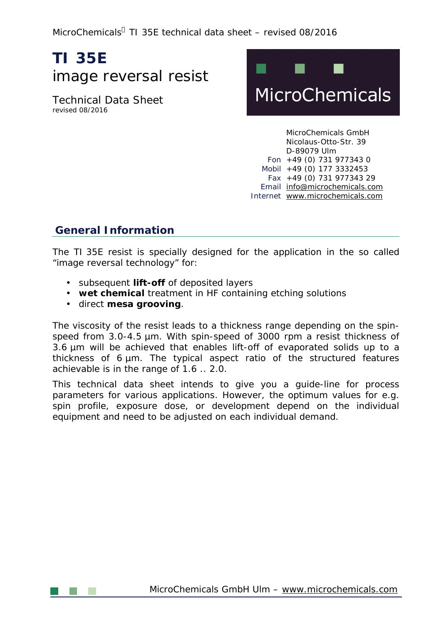MicroChemicals<sup>å</sup> TI 35E technical data sheet – revised 08/2016

# **TI 35E**  image reversal resist

Technical Data Sheet revised 08/2016



MicroChemicals GmbH Nicolaus-Otto-Str. 39 D-89079 Ulm Fon +49 (0) 731 977343 0 Mobil +49 (0) 177 3332453 Fax +49 (0) 731 977343 29 Email [info@microchemicals.com](mailto:info@microchemicals.com) Internet [www.microchemicals.com](http://www.microchemicals.com)

## **General Information**

The TI 35E resist is specially designed for the application in the so called "image reversal technology" for:

- subsequent **lift-off** of deposited layers
- **wet chemical** treatment in HF containing etching solutions
- direct **mesa grooving**.

The viscosity of the resist leads to a thickness range depending on the spinspeed from 3.0-4.5 µm. With spin-speed of 3000 rpm a resist thickness of 3.6 µm will be achieved that enables lift-off of evaporated solids up to a thickness of 6 µm. The typical aspect ratio of the structured features achievable is in the range of 1.6 .. 2.0.

This technical data sheet intends to give you a guide-line for process parameters for various applications. However, the optimum values for e.g. spin profile, exposure dose, or development depend on the individual equipment and need to be adjusted on each individual demand.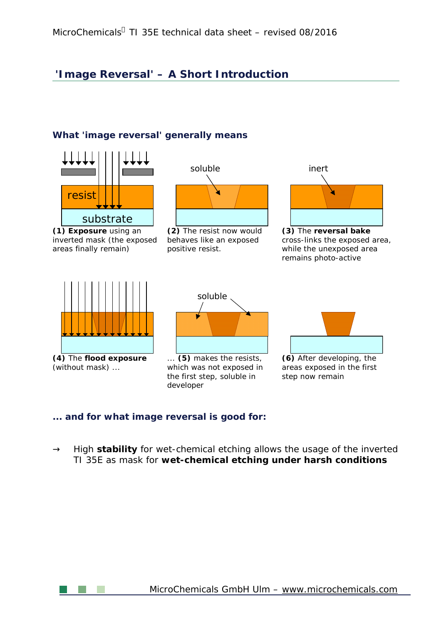## **'Image Reversal' – A Short Introduction**

#### **What 'image reversal' generally means**



#### **... and for what image reversal is good for:**

 $\circledR$ High **stability** for wet-chemical etching allows the usage of the inverted TI 35E as mask for **wet-chemical etching under harsh conditions**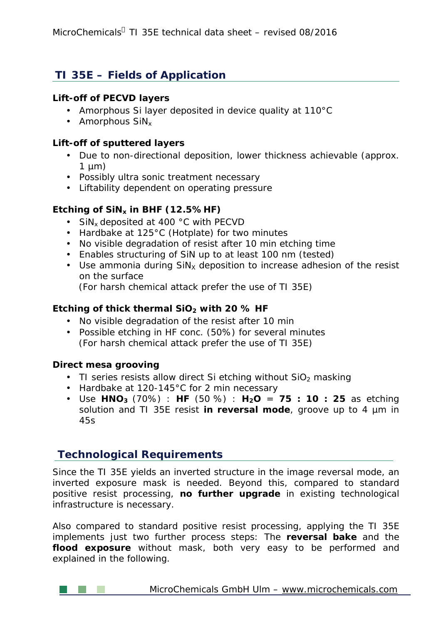## **TI 35E – Fields of Application**

#### **Lift-off of PECVD layers**

- Amorphous Si layer deposited in device quality at 110°C
- $\cdot$  Amorphous SiN<sub>x</sub>

#### **Lift-off of sputtered layers**

- Due to non-directional deposition, lower thickness achievable (approx.  $\mathcal{L}^{\text{max}}$  $1 \mu m$ )
- Possibly ultra sonic treatment necessary
- Liftability dependent on operating pressure

#### **Etching of SiNx in BHF (12.5%HF)**

- $\cdot$  SiN<sub>x</sub> deposited at 400 °C with PECVD
- Hardbake at 125°C (Hotplate) for two minutes
- No visible degradation of resist after 10 min etching time
- Enables structuring of SiN up to at least 100 nm (tested)
- Use ammonia during  $\text{SiN}_X$  deposition to increase adhesion of the resist on the surface (For harsh chemical attack prefer the use of TI 35E)

### **Etching of thick thermal SiO<sup>2</sup> with 20 % HF**

- No visible degradation of the resist after 10 min
- Possible etching in HF conc. (50%) for several minutes  $\mathcal{L}^{(1)}$ (For harsh chemical attack prefer the use of TI 35E)

#### **Direct mesa grooving**

- TI series resists allow direct Si etching without  $SiO<sub>2</sub>$  masking
- Hardbake at 120-145°C for 2 min necessary
- Use **HNO<sup>3</sup>** (70%) : **HF** (50 %) : **H2O** = **75 : 10 : 25** as etching solution and TI 35E resist **in reversal mode**, groove up to 4 µm in 45s

## **Technological Requirements**

Since the TI 35E yields an inverted structure in the image reversal mode, an inverted exposure mask is needed. Beyond this, compared to standard positive resist processing, **no further upgrade** in existing technological infrastructure is necessary.

Also compared to standard positive resist processing, applying the TI 35E implements just two further process steps: The **reversal bake** and the **flood exposure** without mask, both very easy to be performed and explained in the following.

**MicroChemicals GmbH Ulm – [www.microchemicals.com](http://www.microchemicals.com)**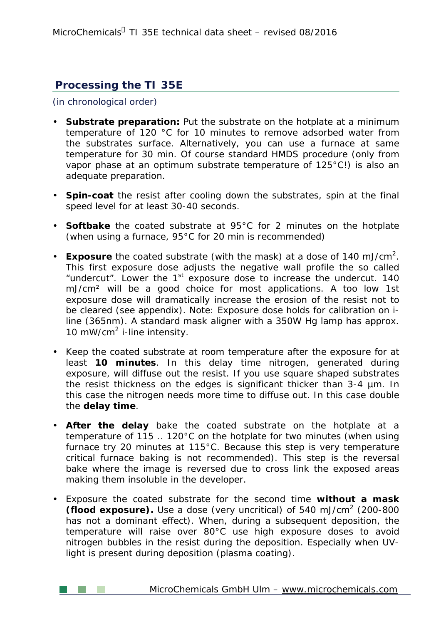## **Processing the TI 35E**

(in chronological order)

- **Substrate preparation:** Put the substrate on the hotplate at a minimum temperature of 120 °C for 10 minutes to remove adsorbed water from the substrates surface. Alternatively, you can use a furnace at same temperature for 30 min. Of course standard HMDS procedure (only from vapor phase at an optimum substrate temperature of 125°C!) is also an adequate preparation.
- **Spin-coat** the resist after cooling down the substrates, spin at the final speed level for at least 30-40 seconds.
- **Softbake** the coated substrate at 95°C for 2 minutes on the hotplate (when using a furnace, 95°C for 20 min is recommended)
- Exposure the coated substrate (with the mask) at a dose of 140 mJ/cm<sup>2</sup>. This first exposure dose adjusts the negative wall profile the so called "undercut". Lower the  $1<sup>st</sup>$  exposure dose to increase the undercut. 140 mJ/cm² will be a good choice for most applications. A too low 1st exposure dose will dramatically increase the erosion of the resist not to be cleared (see appendix). Note: Exposure dose holds for calibration on iline (365nm). A standard mask aligner with a 350W Hg lamp has approx. 10 mW/cm<sup>2</sup> i-line intensity.
- Keep the coated substrate at room temperature after the exposure for at least **10 minutes**. In this delay time nitrogen, generated during exposure, will diffuse out the resist. If you use square shaped substrates the resist thickness on the edges is significant thicker than 3-4 µm. In this case the nitrogen needs more time to diffuse out. In this case double the **delay time**.
- **After the delay** bake the coated substrate on the hotplate at a temperature of 115 .. 120°C on the hotplate for two minutes (when using furnace try 20 minutes at 115°C. Because this step is very temperature critical furnace baking is not recommended). This step is the *reversal bake* where the image is reversed due to cross link the exposed areas making them insoluble in the developer.
- Exposure the coated substrate for the second time **without a mask (flood exposure).** Use a dose (very uncritical) of 540 mJ/cm<sup>2</sup> (200-800 has not a dominant effect). When, during a subsequent deposition, the temperature will raise over 80°C use high exposure doses to avoid nitrogen bubbles in the resist during the deposition. Especially when UVlight is present during deposition (plasma coating).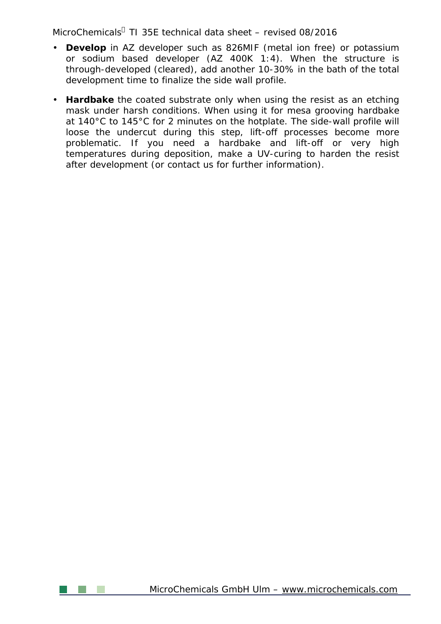MicroChemicals<sup>a</sup> TI 35E technical data sheet – revised 08/2016

- **Develop** in AZ developer such as 826MIF (metal ion free) or potassium or sodium based developer (AZ 400K 1:4). When the structure is through-developed (cleared), add another 10-30% in the bath of the total development time to finalize the side wall profile.
- **Hardbake** the coated substrate only when using the resist as an etching mask under harsh conditions. When using it for mesa grooving hardbake at 140°C to 145°C for 2 minutes on the hotplate. The side-wall profile will loose the undercut during this step, lift-off processes become more problematic. If you need a hardbake and lift-off or very high temperatures during deposition, make a UV-curing to harden the resist after development (or contact us for further information).